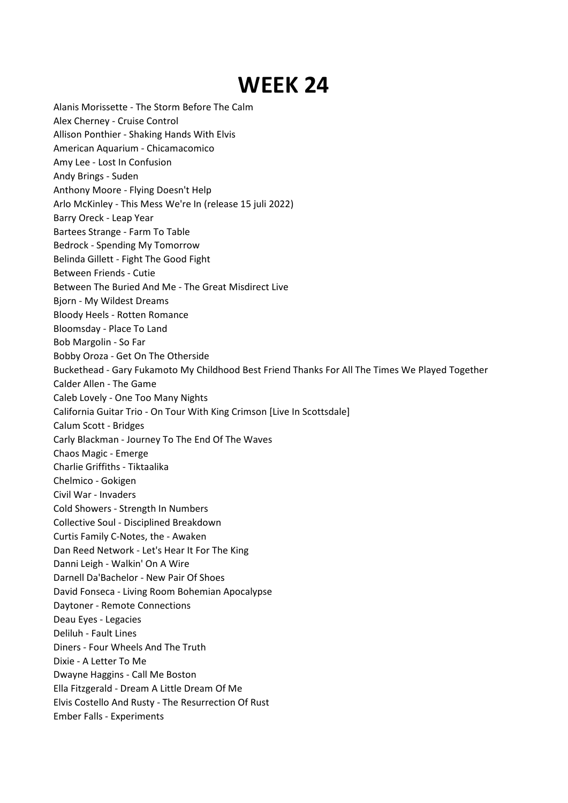## **WEEK 24**

- Alanis Morissette The Storm Before The Calm
- Alex Cherney Cruise Control
- Allison Ponthier Shaking Hands With Elvis
- American Aquarium Chicamacomico
- Amy Lee Lost In Confusion
- Andy Brings Suden
- Anthony Moore Flying Doesn't Help
- Arlo McKinley This Mess We're In (release 15 juli 2022)
- Barry Oreck Leap Year
- Bartees Strange Farm To Table
- Bedrock Spending My Tomorrow
- Belinda Gillett-Fight The Good Fight
- Between Friends Cutie
- Between The Buried And Me The Great Misdirect Live
- Bjorn My Wildest Dreams
- Bloody Heels Rotten Romance
- Bloomsday Place To Land
- Bob Margolin So Far
- Bobby Oroza Get On The Otherside
- Buckethead Gary Fukamoto My Childhood Best Friend Thanks For All The Times We Played Together
- Calder Allen The Game
- Caleb Lovely One Too Many Nights
- California Guitar Trio On Tour With King Crimson [Live In Scottsdale]
- Calum Scott Bridges
- Carly Blackman Journey To The End Of The Waves
- Chaos Magic Emerge
- Charlie Griffiths Tiktaalika
- Chelmico Gokigen
- Civil War Invaders
- Cold Showers Strength In Numbers
- Collective Soul Disciplined Breakdown
- Curtis Family C-Notes, the Awaken
- Dan Reed Network Let's Hear It For The King
- Danni Leigh Walkin' On A Wire
- Darnell Da'Bachelor New Pair Of Shoes
- David Fonseca Living Room Bohemian Apocalypse
- Daytoner Remote Connections
- Deau Eyes Legacies
- Deliluh Fault Lines
- Diners Four Wheels And The Truth
- Dixie A Letter To Me
- Dwayne Haggins Call Me Boston
- Ella Fitzgerald Dream A Little Dream Of Me
- Elvis Costello And Rusty The Resurrection Of Rust
- Ember Falls Experiments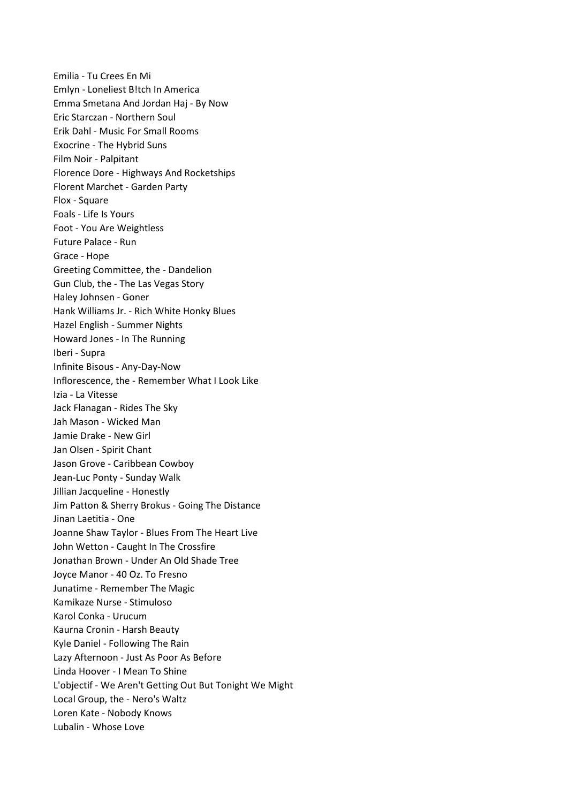Emilia - Tu Crees En Mi Emlyn - Loneliest B!tch In America Emma Smetana And Jordan Haj - By Now Eric Starczan - Northern Soul Erik Dahl - Music For Small Rooms Exocrine - The Hybrid Suns Film Noir - Palpitant Florence Dore - Highways And Rocketships Florent Marchet -Garden Party Flox - Square Foals - Life Is Yours Foot -You Are Weightless Future Palace - Run Grace - Hope Greeting Committee, the - Dandelion Gun Club, the - The Las Vegas Story Haley Johnsen - Goner Hank Williams Jr. - Rich White Honky Blues Hazel English - Summer Nights Howard Jones- In The Running Iberi - Supra Infinite Bisous - Any-Day-Now Inflorescence, the - Remember What I Look Like Izia - La Vitesse Jack Flanagan - Rides The Sky Jah Mason - Wicked Man Jamie Drake - New Girl Jan Olsen - Spirit Chant Jason Grove - Caribbean Cowboy Jean-Luc Ponty - Sunday Walk Jillian Jacqueline - Honestly Jim Patton & Sherry Brokus - Going The Distance Jinan Laetitia - One Joanne Shaw Taylor - Blues From The Heart Live John Wetton - Caught In The Crossfire Jonathan Brown - Under An Old Shade Tree Joyce Manor - 40 Oz. To Fresno Junatime - Remember The Magic Kamikaze Nurse - Stimuloso Karol Conka - Urucum Kaurna Cronin - Harsh Beauty Kyle Daniel - Following The Rain Lazy Afternoon - Just As Poor As Before Linda Hoover - I Mean To Shine L'objectif - We Aren't Getting Out But Tonight We Might Local Group, the - Nero's Waltz Loren Kate - Nobody Knows Lubalin - Whose Love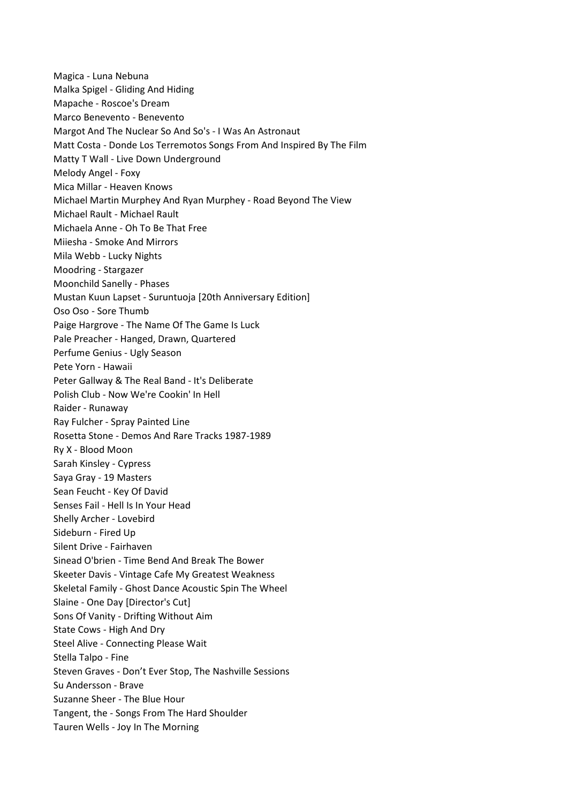Magica - Luna Nebuna Malka Spigel - Gliding And Hiding Mapache - Roscoe's Dream Marco Benevento - Benevento Margot And The Nuclear So And So's -I Was An Astronaut Matt Costa - Donde Los Terremotos Songs From And Inspired ByThe Film Matty T Wall - Live Down Underground Melody Angel - Foxy Mica Millar - Heaven Knows Michael Martin Murphey And Ryan Murphey - Road Beyond The View Michael Rault - Michael Rault Michaela Anne - Oh To Be That Free Miiesha - Smoke And Mirrors Mila Webb - Lucky Nights Moodring - Stargazer Moonchild Sanelly - Phases Mustan Kuun Lapset - Suruntuoja [20th Anniversary Edition] Oso Oso - Sore Thumb Paige Hargrove - The Name Of The Game Is Luck Pale Preacher - Hanged, Drawn, Quartered Perfume Genius - Ugly Season Pete Yorn - Hawaii Peter Gallway & The Real Band - It's Deliberate Polish Club - Now We're Cookin' In Hell Raider - Runaway Ray Fulcher - Spray Painted Line Rosetta Stone - Demos And Rare Tracks 1987-1989 Ry X - Blood Moon Sarah Kinsley - Cypress Saya Gray - 19 Masters Sean Feucht - Key Of David Senses Fail - Hell Is In Your Head Shelly Archer - Lovebird Sideburn - Fired Up Silent Drive - Fairhaven Sinead O'brien - Time Bend And Break The Bower Skeeter Davis - Vintage Cafe My Greatest Weakness Skeletal Family - Ghost Dance Acoustic Spin The Wheel Slaine - One Day [Director's Cut] Sons Of Vanity - Drifting Without Aim State Cows - High And Dry Steel Alive - Connecting Please Wait Stella Talpo - Fine Steven Graves - Don't Ever Stop, The Nashville Sessions Su Andersson - Brave Suzanne Sheer - The Blue Hour Tangent, the - Songs From The Hard Shoulder Tauren Wells - Joy In The Morning